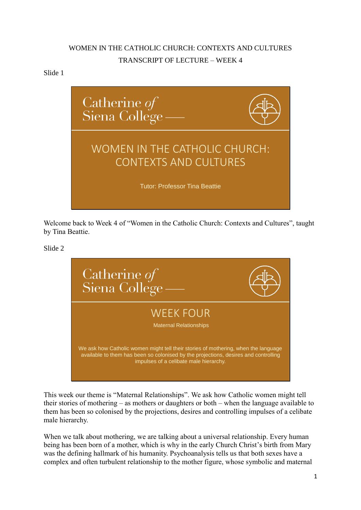# WOMEN IN THE CATHOLIC CHURCH: CONTEXTS AND CULTURES TRANSCRIPT OF LECTURE – WEEK 4

## Slide 1



Welcome back to Week 4 of "Women in the Catholic Church: Contexts and Cultures", taught by Tina Beattie.

Slide 2



This week our theme is "Maternal Relationships". We ask how Catholic women might tell their stories of mothering – as mothers or daughters or both – when the language available to them has been so colonised by the projections, desires and controlling impulses of a celibate male hierarchy.

When we talk about mothering, we are talking about a universal relationship. Every human being has been born of a mother, which is why in the early Church Christ's birth from Mary was the defining hallmark of his humanity. Psychoanalysis tells us that both sexes have a complex and often turbulent relationship to the mother figure, whose symbolic and maternal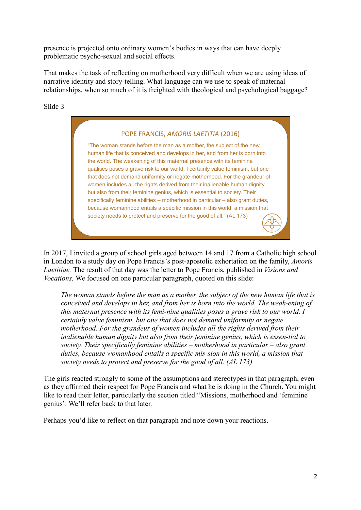presence is projected onto ordinary women's bodies in ways that can have deeply problematic psycho-sexual and social effects.

That makes the task of reflecting on motherhood very difficult when we are using ideas of narrative identity and story-telling. What language can we use to speak of maternal relationships, when so much of it is freighted with theological and psychological baggage?

Slide 3

| POPE FRANCIS, AMORIS LAETITIA (2016)                                                                                                                                                                                                                                                                                                                                                                                                                                                                                                                                                                                                                                                                                                                                                           |
|------------------------------------------------------------------------------------------------------------------------------------------------------------------------------------------------------------------------------------------------------------------------------------------------------------------------------------------------------------------------------------------------------------------------------------------------------------------------------------------------------------------------------------------------------------------------------------------------------------------------------------------------------------------------------------------------------------------------------------------------------------------------------------------------|
| "The woman stands before the man as a mother, the subject of the new<br>human life that is conceived and develops in her, and from her is born into<br>the world. The weakening of this maternal presence with its feminine<br>qualities poses a grave risk to our world. I certainly value feminism, but one<br>that does not demand uniformity or negate motherhood. For the grandeur of<br>women includes all the rights derived from their inalienable human dignity<br>but also from their feminine genius, which is essential to society. Their<br>specifically feminine abilities – motherhood in particular – also grant duties,<br>because womanhood entails a specific mission in this world, a mission that<br>society needs to protect and preserve for the good of all." (AL 173) |

In 2017, I invited a group of school girls aged between 14 and 17 from a Catholic high school in London to a study day on Pope Francis's post-apostolic exhortation on the family, *Amoris Laetitiae.* The result of that day was the letter to Pope Francis, published in *Visions and Vocations.* We focused on one particular paragraph, quoted on this slide:

*The woman stands before the man as a mother, the subject of the new human life that is conceived and develops in her, and from her is born into the world. The weak-ening of this maternal presence with its femi-nine qualities poses a grave risk to our world. I certainly value feminism, but one that does not demand uniformity or negate motherhood. For the grandeur of women includes all the rights derived from their inalienable human dignity but also from their feminine genius, which is essen-tial to society. Their specifically feminine abilities – motherhood in particular – also grant duties, because womanhood entails a specific mission in this world, a mission that society needs to protect and preserve for the good of all. (AL 173)*

The girls reacted strongly to some of the assumptions and stereotypes in that paragraph, even as they affirmed their respect for Pope Francis and what he is doing in the Church. You might like to read their letter, particularly the section titled "Missions, motherhood and 'feminine genius'. We'll refer back to that later.

Perhaps you'd like to reflect on that paragraph and note down your reactions.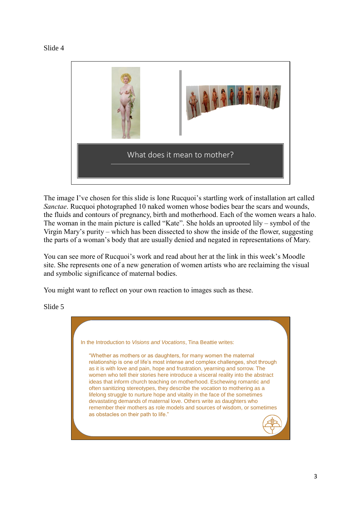



The image I've chosen for this slide is Ione Rucquoi's startling work of installation art called *Sanctae*. Rucquoi photographed 10 naked women whose bodies bear the scars and wounds, the fluids and contours of pregnancy, birth and motherhood. Each of the women wears a halo. The woman in the main picture is called "Kate". She holds an uprooted lily – symbol of the Virgin Mary's purity – which has been dissected to show the inside of the flower, suggesting the parts of a woman's body that are usually denied and negated in representations of Mary.

You can see more of Rucquoi's work and read about her at the link in this week's Moodle site. She represents one of a new generation of women artists who are reclaiming the visual and symbolic significance of maternal bodies.

You might want to reflect on your own reaction to images such as these.

Slide 5

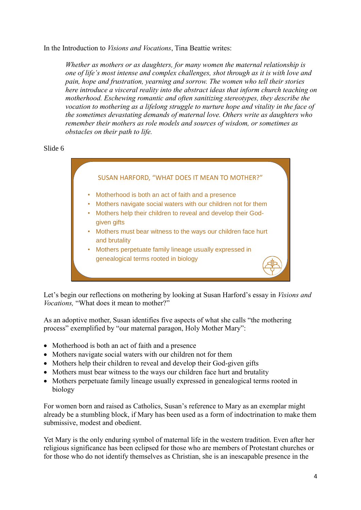In the Introduction to *Visions and Vocations*, Tina Beattie writes:

*Whether as mothers or as daughters, for many women the maternal relationship is one of life's most intense and complex challenges, shot through as it is with love and pain, hope and frustration, yearning and sorrow. The women who tell their stories here introduce a visceral reality into the abstract ideas that inform church teaching on motherhood. Eschewing romantic and often sanitizing stereotypes, they describe the vocation to mothering as a lifelong struggle to nurture hope and vitality in the face of the sometimes devastating demands of maternal love. Others write as daughters who remember their mothers as role models and sources of wisdom, or sometimes as obstacles on their path to life.*

Slide 6



Let's begin our reflections on mothering by looking at Susan Harford's essay in *Visions and Vocations,* "What does it mean to mother?"

As an adoptive mother, Susan identifies five aspects of what she calls "the mothering process" exemplified by "our maternal paragon, Holy Mother Mary":

- Motherhood is both an act of faith and a presence
- Mothers navigate social waters with our children not for them
- Mothers help their children to reveal and develop their God-given gifts
- Mothers must bear witness to the ways our children face hurt and brutality
- Mothers perpetuate family lineage usually expressed in genealogical terms rooted in biology

For women born and raised as Catholics, Susan's reference to Mary as an exemplar might already be a stumbling block, if Mary has been used as a form of indoctrination to make them submissive, modest and obedient.

Yet Mary is the only enduring symbol of maternal life in the western tradition. Even after her religious significance has been eclipsed for those who are members of Protestant churches or for those who do not identify themselves as Christian, she is an inescapable presence in the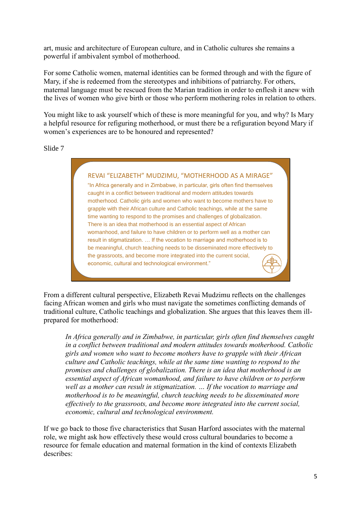art, music and architecture of European culture, and in Catholic cultures she remains a powerful if ambivalent symbol of motherhood.

For some Catholic women, maternal identities can be formed through and with the figure of Mary, if she is redeemed from the stereotypes and inhibitions of patriarchy. For others, maternal language must be rescued from the Marian tradition in order to enflesh it anew with the lives of women who give birth or those who perform mothering roles in relation to others.

You might like to ask yourself which of these is more meaningful for you, and why? Is Mary a helpful resource for refiguring motherhood, or must there be a refiguration beyond Mary if women's experiences are to be honoured and represented?

Slide 7



From a different cultural perspective, Elizabeth Revai Mudzimu reflects on the challenges facing African women and girls who must navigate the sometimes conflicting demands of traditional culture, Catholic teachings and globalization. She argues that this leaves them illprepared for motherhood:

*In Africa generally and in Zimbabwe, in particular, girls often find themselves caught in a conflict between traditional and modern attitudes towards motherhood. Catholic girls and women who want to become mothers have to grapple with their African culture and Catholic teachings, while at the same time wanting to respond to the promises and challenges of globalization. There is an idea that motherhood is an essential aspect of African womanhood, and failure to have children or to perform well as a mother can result in stigmatization. … If the vocation to marriage and motherhood is to be meaningful, church teaching needs to be disseminated more effectively to the grassroots, and become more integrated into the current social, economic, cultural and technological environment.*

If we go back to those five characteristics that Susan Harford associates with the maternal role, we might ask how effectively these would cross cultural boundaries to become a resource for female education and maternal formation in the kind of contexts Elizabeth describes: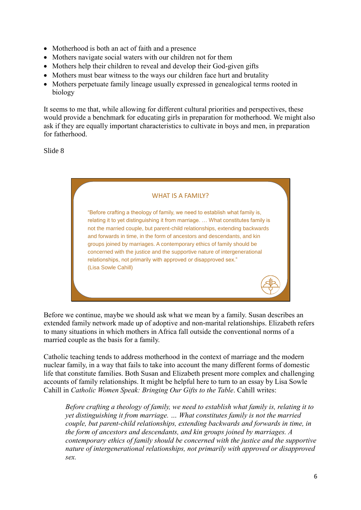- Motherhood is both an act of faith and a presence
- Mothers navigate social waters with our children not for them
- Mothers help their children to reveal and develop their God-given gifts
- Mothers must bear witness to the ways our children face hurt and brutality
- Mothers perpetuate family lineage usually expressed in genealogical terms rooted in biology

It seems to me that, while allowing for different cultural priorities and perspectives, these would provide a benchmark for educating girls in preparation for motherhood. We might also ask if they are equally important characteristics to cultivate in boys and men, in preparation for fatherhood.

Slide 8



Before we continue, maybe we should ask what we mean by a family. Susan describes an extended family network made up of adoptive and non-marital relationships. Elizabeth refers to many situations in which mothers in Africa fall outside the conventional norms of a married couple as the basis for a family.

Catholic teaching tends to address motherhood in the context of marriage and the modern nuclear family, in a way that fails to take into account the many different forms of domestic life that constitute families. Both Susan and Elizabeth present more complex and challenging accounts of family relationships. It might be helpful here to turn to an essay by Lisa Sowle Cahill in *Catholic Women Speak: Bringing Our Gifts to the Table*. Cahill writes:

*Before crafting a theology of family, we need to establish what family is, relating it to yet distinguishing it from marriage. … What constitutes family is not the married couple, but parent-child relationships, extending backwards and forwards in time, in the form of ancestors and descendants, and kin groups joined by marriages. A contemporary ethics of family should be concerned with the justice and the supportive nature of intergenerational relationships, not primarily with approved or disapproved sex.*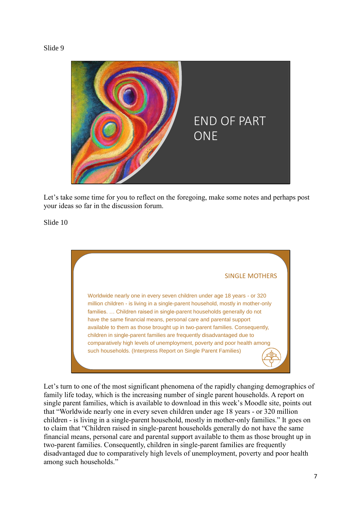#### Slide 9



Let's take some time for you to reflect on the foregoing, make some notes and perhaps post your ideas so far in the discussion forum.

Slide 10



Let's turn to one of the most significant phenomena of the rapidly changing demographics of family life today, which is the increasing number of single parent households. A report on single parent families, which is available to download in this week's Moodle site, points out that "Worldwide nearly one in every seven children under age 18 years - or 320 million children - is living in a single-parent household, mostly in mother-only families." It goes on to claim that "Children raised in single-parent households generally do not have the same financial means, personal care and parental support available to them as those brought up in two-parent families. Consequently, children in single-parent families are frequently disadvantaged due to comparatively high levels of unemployment, poverty and poor health among such households."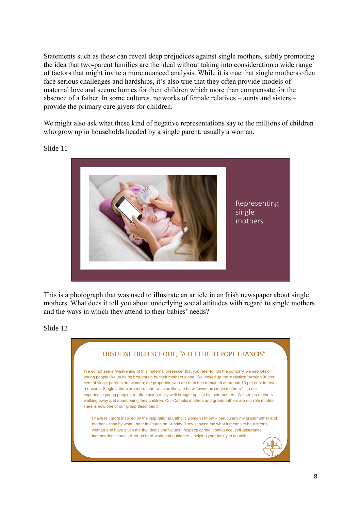Statements such as these can reveal deep prejudices against single mothers, subtly promoting the idea that two-parent families are the ideal without taking into consideration a wide range of factors that might invite a more nuanced analysis. While it is true that single mothers often face serious challenges and hardships, it's also true that they often provide models of maternal love and secure homes for their children which more than compensate for the absence of a father. In some cultures, networks of female relatives – aunts and sisters – provide the primary care givers for children.

We might also ask what these kind of negative representations say to the millions of children who grow up in households headed by a single parent, usually a woman.

Slide 11



This is a photograph that was used to illustrate an article in an Irish newspaper about single mothers. What does it tell you about underlying social attitudes with regard to single mothers and the ways in which they attend to their babies' needs?

Slide 12

| URSULINE HIGH SCHOOL, "A LETTER TO POPE FRANCIS"                                                                                                                                                                                                                                                                                                                                                                                                                                                                                                                                                                                                                                                        |
|---------------------------------------------------------------------------------------------------------------------------------------------------------------------------------------------------------------------------------------------------------------------------------------------------------------------------------------------------------------------------------------------------------------------------------------------------------------------------------------------------------------------------------------------------------------------------------------------------------------------------------------------------------------------------------------------------------|
| We do not see a "weakening of this maternal presence" that you refer to. On the contrary, we see lots of<br>young people like us being brought up by their mothers alone. We looked up the statistics: "Around 90 per<br>cent of single parents are women; the proportion who are men has remained at around 10 per cent for over<br>a decade. Single fathers are more than twice as likely to be widowed as single mothers." In our<br>experience young people are often being really well brought up just by their mothers. We see no mothers<br>walking away and abandoning their children. Our Catholic mothers and grandmothers are our role models.<br>Here is how one of our group described it: |
| I have felt more inspired by the inspirational Catholic women I know – particularly my grandmother and<br>mother – than by what I hear in church on Sunday. They showed me what it means to be a strong<br>woman and have given me the ideals and values I respect: caring, confidence, self-assurance,<br>independence and – through hard-work and guidance – helping your family to flourish.                                                                                                                                                                                                                                                                                                         |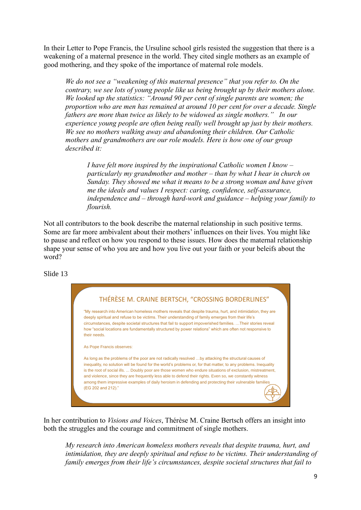In their Letter to Pope Francis, the Ursuline school girls resisted the suggestion that there is a weakening of a maternal presence in the world. They cited single mothers as an example of good mothering, and they spoke of the importance of maternal role models.

*We do not see a "weakening of this maternal presence" that you refer to. On the contrary, we see lots of young people like us being brought up by their mothers alone. We looked up the statistics: "Around 90 per cent of single parents are women; the proportion who are men has remained at around 10 per cent for over a decade. Single fathers are more than twice as likely to be widowed as single mothers." In our experience young people are often being really well brought up just by their mothers. We see no mothers walking away and abandoning their children. Our Catholic mothers and grandmothers are our role models. Here is how one of our group described it:*

*I have felt more inspired by the inspirational Catholic women I know – particularly my grandmother and mother – than by what I hear in church on Sunday. They showed me what it means to be a strong woman and have given me the ideals and values I respect: caring, confidence, self-assurance, independence and – through hard-work and guidance – helping your family to flourish.*

Not all contributors to the book describe the maternal relationship in such positive terms. Some are far more ambivalent about their mothers' influences on their lives. You might like to pause and reflect on how you respond to these issues. How does the maternal relationship shape your sense of who you are and how you live out your faith or your beleifs about the word?

Slide 13

| THÉRÈSE M. CRAINE BERTSCH, "CROSSING BORDERLINES"                                                                                                                                                                                                                                                                                                                                                                                                                                                                                                                                |
|----------------------------------------------------------------------------------------------------------------------------------------------------------------------------------------------------------------------------------------------------------------------------------------------------------------------------------------------------------------------------------------------------------------------------------------------------------------------------------------------------------------------------------------------------------------------------------|
| "My research into American homeless mothers reveals that despite trauma, hurt, and intimidation, they are<br>deeply spiritual and refuse to be victims. Their understanding of family emerges from their life's<br>circumstances, despite societal structures that fail to support impoverished families.  Their stories reveal<br>how "social locations are fundamentally structured by power relations" which are often not responsive to<br>their needs.                                                                                                                      |
| As Pope Francis observes:                                                                                                                                                                                                                                                                                                                                                                                                                                                                                                                                                        |
| As long as the problems of the poor are not radically resolved by attacking the structural causes of<br>inequality, no solution will be found for the world's problems or, for that matter, to any problems. Inequality<br>is the root of social ills.  Doubly poor are those women who endure situations of exclusion, mistreatment,<br>and violence, since they are frequently less able to defend their rights. Even so, we constantly witness<br>among them impressive examples of daily heroism in defending and protecting their vulnerable families<br>(EG 202 and 212)." |

In her contribution to *Visions and Voices*, Thérèse M. Craine Bertsch offers an insight into both the struggles and the courage and commitment of single mothers.

*My research into American homeless mothers reveals that despite trauma, hurt, and intimidation, they are deeply spiritual and refuse to be victims. Their understanding of family emerges from their life's circumstances, despite societal structures that fail to*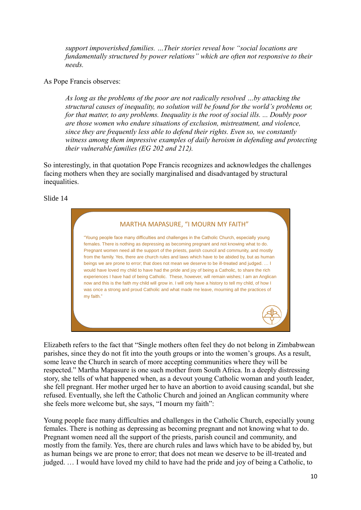*support impoverished families. …Their stories reveal how "social locations are fundamentally structured by power relations" which are often not responsive to their needs.* 

As Pope Francis observes:

*As long as the problems of the poor are not radically resolved …by attacking the structural causes of inequality, no solution will be found for the world's problems or, for that matter, to any problems. Inequality is the root of social ills. ... Doubly poor are those women who endure situations of exclusion, mistreatment, and violence, since they are frequently less able to defend their rights. Even so, we constantly witness among them impressive examples of daily heroism in defending and protecting their vulnerable families (EG 202 and 212).*

So interestingly, in that quotation Pope Francis recognizes and acknowledges the challenges facing mothers when they are socially marginalised and disadvantaged by structural inequalities.

#### Slide 14



Elizabeth refers to the fact that "Single mothers often feel they do not belong in Zimbabwean parishes, since they do not fit into the youth groups or into the women's groups. As a result, some leave the Church in search of more accepting communities where they will be respected." Martha Mapasure is one such mother from South Africa. In a deeply distressing story, she tells of what happened when, as a devout young Catholic woman and youth leader, she fell pregnant. Her mother urged her to have an abortion to avoid causing scandal, but she refused. Eventually, she left the Catholic Church and joined an Anglican community where she feels more welcome but, she says, "I mourn my faith":

Young people face many difficulties and challenges in the Catholic Church, especially young females. There is nothing as depressing as becoming pregnant and not knowing what to do. Pregnant women need all the support of the priests, parish council and community, and mostly from the family. Yes, there are church rules and laws which have to be abided by, but as human beings we are prone to error; that does not mean we deserve to be ill-treated and judged. … I would have loved my child to have had the pride and joy of being a Catholic, to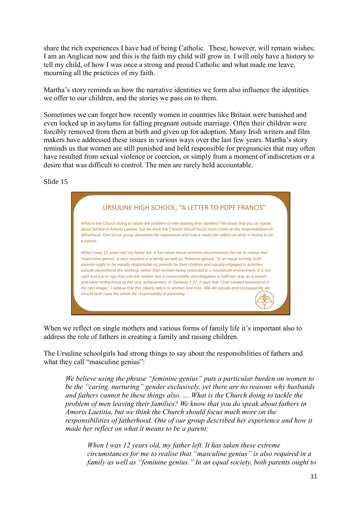share the rich experiences I have had of being Catholic. These, however, will remain wishes; I am an Anglican now and this is the faith my child will grow in. I will only have a history to tell my child, of how I was once a strong and proud Catholic and what made me leave, mourning all the practices of my faith.

Martha's story reminds us how the narrative identities we form also influence the identities we offer to our children, and the stories we pass on to them.

Sometimes we can forget how recently women in countries like Britain were banished and even locked up in asylums for falling pregnant outside marriage. Often their children were forcibly removed from them at birth and given up for adoption. Many Irish writers and film makers have addressed these issues in various ways over the last few years. Martha's story reminds us that women are still punished and held responsible for pregnancies that may often have resulted from sexual violence or coercion, or simply from a moment of indiscretion or a desire that was difficult to control. The men are rarely held accountable.

Slide 15

|           | URSULINE HIGH SCHOOL, "A LETTER TO POPE FRANCIS"                                                                                                                                                                                                                                                                                                                                                                                                                                                                                                                                                                                                                                                                                                                                                                                               |  |
|-----------|------------------------------------------------------------------------------------------------------------------------------------------------------------------------------------------------------------------------------------------------------------------------------------------------------------------------------------------------------------------------------------------------------------------------------------------------------------------------------------------------------------------------------------------------------------------------------------------------------------------------------------------------------------------------------------------------------------------------------------------------------------------------------------------------------------------------------------------------|--|
| a parent: | What is the Church doing to tackle the problem of men leaving their families? We know that you do speak<br>about fathers in Amoris Laetitia, but we think the Church should focus much more on the responsibilities of<br>fatherhood. One of our group described her experience and how it made her reflect on what it means to be                                                                                                                                                                                                                                                                                                                                                                                                                                                                                                             |  |
|           | When I was 12 years old, my father left. It has taken these extreme circumstances for me to realise that<br>"masculine genius" is also reguired in a family as well as "feminine genius." In an equal society, both<br>parents ought to be equally responsible as parents for their children and equally engaged in activities<br>outside parenthood like working, rather than women being restricted to a household environment. It is not<br>right and just to say that only the mother has a responsibility and obligation to fulfil her duty as a parent<br>and have motherhood as her only achievement. In Genesis 1:27, it says that "God created humankind in<br>his own image"; I believe that this clearly refers to women and men. We are equals and consequently we<br>should both have the whole life responsibility of parenting. |  |

When we reflect on single mothers and various forms of family life it's important also to address the role of fathers in creating a family and raising children.

The Ursuline schoolgirls had strong things to say about the responsibilities of fathers and what they call "masculine genius":

*We believe using the phrase "feminine genius" puts a particular burden on women to be the "caring, nurturing" gender exclusively, yet there are no reasons why husbands and fathers cannot be these things also. … What is the Church doing to tackle the problem of men leaving their families? We know that you do speak about fathers in Amoris Laetitia, but we think the Church should focus much more on the responsibilities of fatherhood. One of our group described her experience and how it made her reflect on what it means to be a parent:*

*When I was 12 years old, my father left. It has taken these extreme circumstances for me to realise that "masculine genius" is also required in a family as well as "feminine genius." In an equal society, both parents ought to*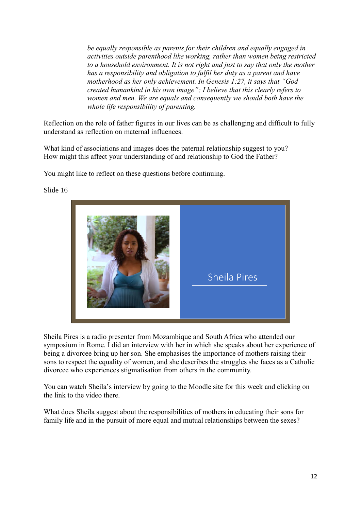*be equally responsible as parents for their children and equally engaged in activities outside parenthood like working, rather than women being restricted to a household environment. It is not right and just to say that only the mother has a responsibility and obligation to fulfil her duty as a parent and have motherhood as her only achievement. In Genesis 1:27, it says that "God created humankind in his own image"; I believe that this clearly refers to women and men. We are equals and consequently we should both have the whole life responsibility of parenting.* 

Reflection on the role of father figures in our lives can be as challenging and difficult to fully understand as reflection on maternal influences.

What kind of associations and images does the paternal relationship suggest to you? How might this affect your understanding of and relationship to God the Father?

You might like to reflect on these questions before continuing.



Slide 16

Sheila Pires is a radio presenter from Mozambique and South Africa who attended our symposium in Rome. I did an interview with her in which she speaks about her experience of being a divorcee bring up her son. She emphasises the importance of mothers raising their sons to respect the equality of women, and she describes the struggles she faces as a Catholic divorcee who experiences stigmatisation from others in the community.

You can watch Sheila's interview by going to the Moodle site for this week and clicking on the link to the video there.

What does Sheila suggest about the responsibilities of mothers in educating their sons for family life and in the pursuit of more equal and mutual relationships between the sexes?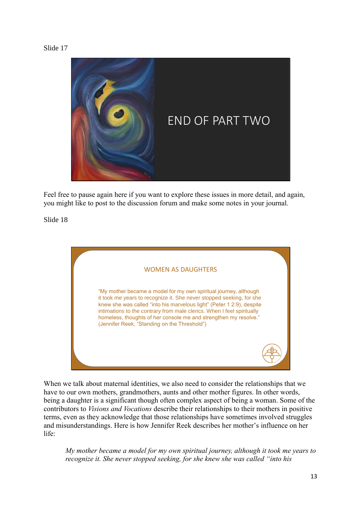

Feel free to pause again here if you want to explore these issues in more detail, and again, you might like to post to the discussion forum and make some notes in your journal.

Slide 18



When we talk about maternal identities, we also need to consider the relationships that we have to our own mothers, grandmothers, aunts and other mother figures. In other words, being a daughter is a significant though often complex aspect of being a woman. Some of the contributors to *Visions and Vocations* describe their relationships to their mothers in positive terms, even as they acknowledge that those relationships have sometimes involved struggles and misunderstandings. Here is how Jennifer Reek describes her mother's influence on her life:

*My mother became a model for my own spiritual journey, although it took me years to recognize it. She never stopped seeking, for she knew she was called "into his*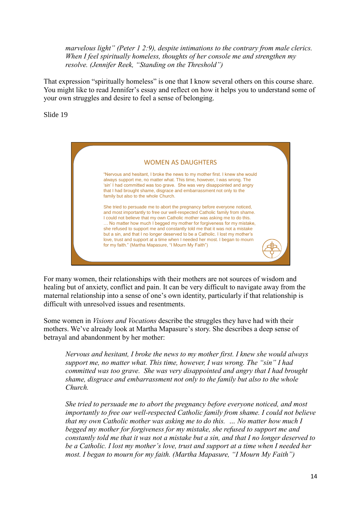*marvelous light" (Peter 1 2:9), despite intimations to the contrary from male clerics. When I feel spiritually homeless, thoughts of her console me and strengthen my resolve. (Jennifer Reek, "Standing on the Threshold")*

That expression "spiritually homeless" is one that I know several others on this course share. You might like to read Jennifer's essay and reflect on how it helps you to understand some of your own struggles and desire to feel a sense of belonging.

Slide 19



For many women, their relationships with their mothers are not sources of wisdom and healing but of anxiety, conflict and pain. It can be very difficult to navigate away from the maternal relationship into a sense of one's own identity, particularly if that relationship is difficult with unresolved issues and resentments.

Some women in *Visions and Vocations* describe the struggles they have had with their mothers. We've already look at Martha Mapasure's story. She describes a deep sense of betrayal and abandonment by her mother:

*Nervous and hesitant, I broke the news to my mother first. I knew she would always support me, no matter what. This time, however, I was wrong. The "sin" I had committed was too grave. She was very disappointed and angry that I had brought shame, disgrace and embarrassment not only to the family but also to the whole Church.* 

*She tried to persuade me to abort the pregnancy before everyone noticed, and most importantly to free our well-respected Catholic family from shame. I could not believe that my own Catholic mother was asking me to do this. … No matter how much I begged my mother for forgiveness for my mistake, she refused to support me and constantly told me that it was not a mistake but a sin, and that I no longer deserved to be a Catholic. I lost my mother's love, trust and support at a time when I needed her most. I began to mourn for my faith. (Martha Mapasure, "I Mourn My Faith")*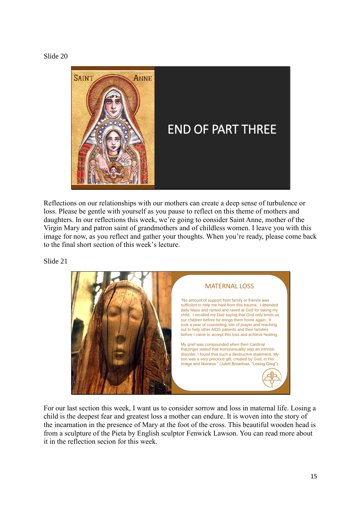



Reflections on our relationships with our mothers can create a deep sense of turbulence or loss. Please be gentle with yourself as you pause to reflect on this theme of mothers and daughters. In our reflections this week, we're going to consider Saint Anne, mother of the Virgin Mary and patron saint of grandmothers and of childless women. I leave you with this image for now, as you reflect and gather your thoughts. When you're ready, please come back to the final short section of this week's lecture.

Slide 21



For our last section this week, I want us to consider sorrow and loss in maternal life. Losing a child is the deepest fear and greatest loss a mother can endure. It is woven into the story of the incarnation in the presence of Mary at the foot of the cross. This beautiful wooden head is from a sculpture of the Pieta by English sculptor Fenwick Lawson. You can read more about it in the reflection secion for this week.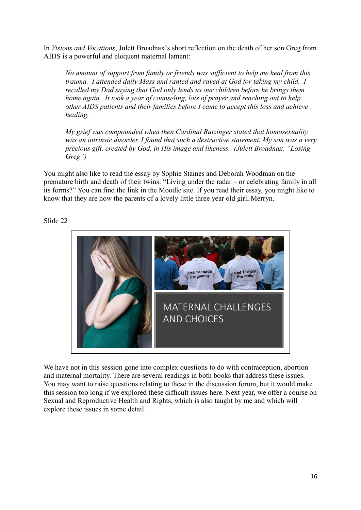In *Visions and Vocations*, Julett Broadnax's short reflection on the death of her son Greg from AIDS is a powerful and eloquent maternal lament:

*No amount of support from family or friends was sufficient to help me heal from this trauma. I attended daily Mass and ranted and raved at God for taking my child. I recalled my Dad saying that God only lends us our children before he brings them home again. It took a year of counseling, lots of prayer and reaching out to help other AIDS patients and their families before I came to accept this loss and achieve healing.*

*My grief was compounded when then Cardinal Ratzinger stated that homosexuality was an intrinsic disorder. I found that such a destructive statement. My son was a very precious gift, created by God, in His image and likeness. (Julett Broadnax, "Losing Greg")*

You might also like to read the essay by Sophie Staines and Deborah Woodman on the premature birth and death of their twins: "Living under the radar – or celebrating family in all its forms?" You can find the link in the Moodle site. If you read their essay, you might like to know that they are now the parents of a lovely little three year old girl, Merryn.

### Slide 22



We have not in this session gone into complex questions to do with contraception, abortion and maternal mortality. There are several readings in both books that address these issues. You may want to raise questions relating to these in the discussion forum, but it would make this session too long if we explored these difficult issues here. Next year, we offer a course on Sexual and Reproductive Health and Rights, which is also taught by me and which will explore these issues in some detail.